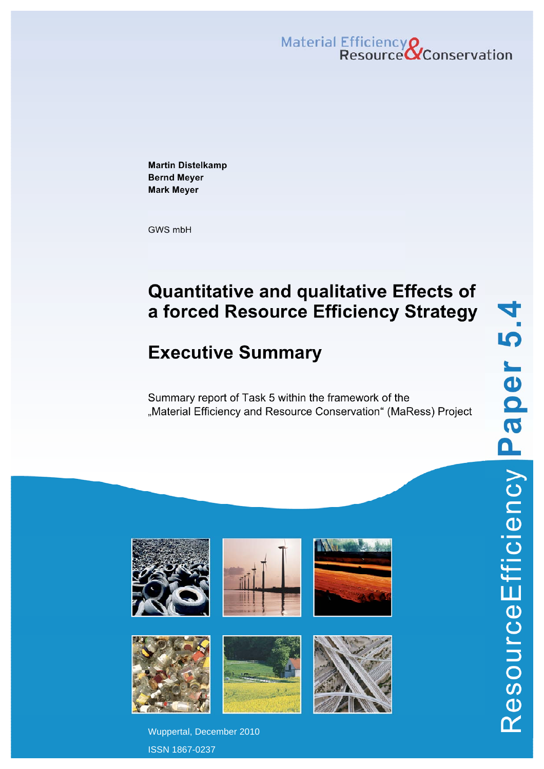Material Efficiency Q<br>Resource QConservation

**Martin Distelkamp Bernd Meyer Mark Meyer** 

GWS mbH

# **Quantitative and qualitative Effects of a forced Resource Efficiency Strategy**

# **Executive Summary**

Summary report of Task 5 within the framework of the "Material Efficiency and Resource Conservation" (MaRess) Project



Wuppertal, December 2010 ISSN 1867-0237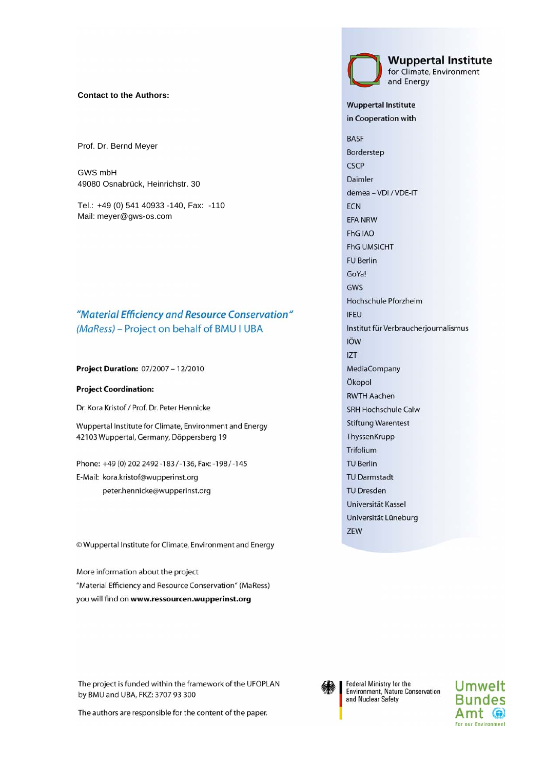#### **Contact to the Authors:**

Prof. Dr. Bernd Meyer

GWS mbH 49080 Osnabrück, Heinrichstr. 30

Tel.: +49 (0) 541 40933 -140, Fax: -110 Mail: meyer@gws-os.com

### "Material Efficiency and Resource Conservation" (MaRess) - Project on behalf of BMU I UBA

Project Duration: 07/2007 - 12/2010

#### **Project Coordination:**

Dr. Kora Kristof / Prof. Dr. Peter Hennicke

Wuppertal Institute for Climate, Environment and Energy 42103 Wuppertal, Germany, Döppersberg 19

Phone: +49 (0) 202 2492 -183 / -136, Fax: -198 / -145 E-Mail: kora.kristof@wupperinst.org peter.hennicke@wupperinst.org

© Wuppertal Institute for Climate, Environment and Energy

More information about the project "Material Efficiency and Resource Conservation" (MaRess) you will find on www.ressourcen.wupperinst.org

The project is funded within the framework of the UFOPLAN by BMU and UBA, FKZ: 3707 93 300

The authors are responsible for the content of the paper.



Federal Ministry for the Environment, Nature Conservation and Nuclear Safety



for Climate, Environment and Energy

**Wuppertal Institute** 

**Wuppertal Institute** in Cooperation with

**BASF** Borderstep CSCP Daimler demea - VDI / VDE-IT **ECN** EFA NRW FhG IAO **FhG UMSICHT FU Berlin** GoYa! GWS Hochschule Pforzheim **IFEU** Institut für Verbraucherjournalismus IÖW **IZT** MediaCompany Ökopol **RWTH Aachen** SRH Hochschule Calw **Stiftung Warentest** ThyssenKrupp Trifolium **TU Berlin TU Darmstadt TU Dresden** Universität Kassel Universität Lüneburg ZEW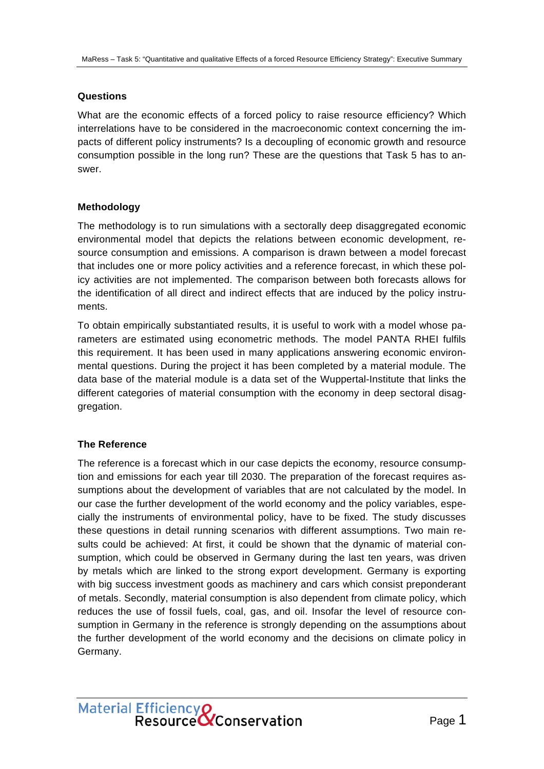### **Questions**

What are the economic effects of a forced policy to raise resource efficiency? Which interrelations have to be considered in the macroeconomic context concerning the impacts of different policy instruments? Is a decoupling of economic growth and resource consumption possible in the long run? These are the questions that Task 5 has to answer.

### **Methodology**

The methodology is to run simulations with a sectorally deep disaggregated economic environmental model that depicts the relations between economic development, resource consumption and emissions. A comparison is drawn between a model forecast that includes one or more policy activities and a reference forecast, in which these policy activities are not implemented. The comparison between both forecasts allows for the identification of all direct and indirect effects that are induced by the policy instruments.

To obtain empirically substantiated results, it is useful to work with a model whose parameters are estimated using econometric methods. The model PANTA RHEI fulfils this requirement. It has been used in many applications answering economic environmental questions. During the project it has been completed by a material module. The data base of the material module is a data set of the Wuppertal-Institute that links the different categories of material consumption with the economy in deep sectoral disaggregation.

## **The Reference**

The reference is a forecast which in our case depicts the economy, resource consumption and emissions for each year till 2030. The preparation of the forecast requires assumptions about the development of variables that are not calculated by the model. In our case the further development of the world economy and the policy variables, especially the instruments of environmental policy, have to be fixed. The study discusses these questions in detail running scenarios with different assumptions. Two main results could be achieved: At first, it could be shown that the dynamic of material consumption, which could be observed in Germany during the last ten years, was driven by metals which are linked to the strong export development. Germany is exporting with big success investment goods as machinery and cars which consist preponderant of metals. Secondly, material consumption is also dependent from climate policy, which reduces the use of fossil fuels, coal, gas, and oil. Insofar the level of resource consumption in Germany in the reference is strongly depending on the assumptions about the further development of the world economy and the decisions on climate policy in Germany.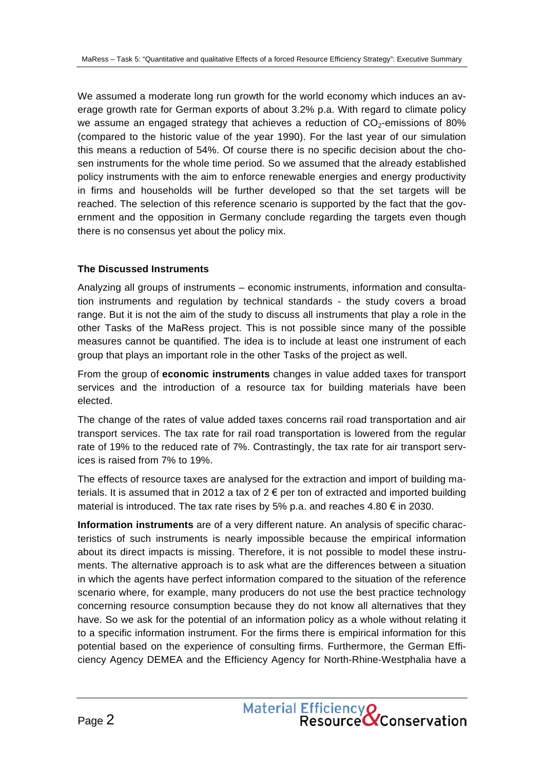We assumed a moderate long run growth for the world economy which induces an average growth rate for German exports of about 3.2% p.a. With regard to climate policy we assume an engaged strategy that achieves a reduction of  $CO<sub>2</sub>$ -emissions of 80% (compared to the historic value of the year 1990). For the last year of our simulation this means a reduction of 54%. Of course there is no specific decision about the chosen instruments for the whole time period. So we assumed that the already established policy instruments with the aim to enforce renewable energies and energy productivity in firms and households will be further developed so that the set targets will be reached. The selection of this reference scenario is supported by the fact that the government and the opposition in Germany conclude regarding the targets even though there is no consensus yet about the policy mix.

#### **The Discussed Instruments**

Analyzing all groups of instruments – economic instruments, information and consultation instruments and regulation by technical standards - the study covers a broad range. But it is not the aim of the study to discuss all instruments that play a role in the other Tasks of the MaRess project. This is not possible since many of the possible measures cannot be quantified. The idea is to include at least one instrument of each group that plays an important role in the other Tasks of the project as well.

From the group of **economic instruments** changes in value added taxes for transport services and the introduction of a resource tax for building materials have been elected.

The change of the rates of value added taxes concerns rail road transportation and air transport services. The tax rate for rail road transportation is lowered from the regular rate of 19% to the reduced rate of 7%. Contrastingly, the tax rate for air transport services is raised from 7% to 19%.

The effects of resource taxes are analysed for the extraction and import of building materials. It is assumed that in 2012 a tax of  $2 \epsilon$  per ton of extracted and imported building material is introduced. The tax rate rises by 5% p.a. and reaches 4.80  $\epsilon$  in 2030.

**Information instruments** are of a very different nature. An analysis of specific characteristics of such instruments is nearly impossible because the empirical information about its direct impacts is missing. Therefore, it is not possible to model these instruments. The alternative approach is to ask what are the differences between a situation in which the agents have perfect information compared to the situation of the reference scenario where, for example, many producers do not use the best practice technology concerning resource consumption because they do not know all alternatives that they have. So we ask for the potential of an information policy as a whole without relating it to a specific information instrument. For the firms there is empirical information for this potential based on the experience of consulting firms. Furthermore, the German Efficiency Agency DEMEA and the Efficiency Agency for North-Rhine-Westphalia have a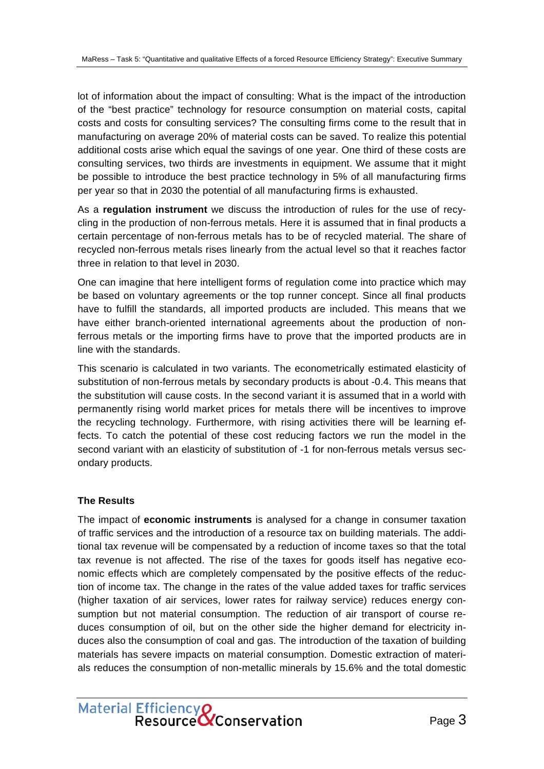lot of information about the impact of consulting: What is the impact of the introduction of the "best practice" technology for resource consumption on material costs, capital costs and costs for consulting services? The consulting firms come to the result that in manufacturing on average 20% of material costs can be saved. To realize this potential additional costs arise which equal the savings of one year. One third of these costs are consulting services, two thirds are investments in equipment. We assume that it might be possible to introduce the best practice technology in 5% of all manufacturing firms per year so that in 2030 the potential of all manufacturing firms is exhausted.

As a **regulation instrument** we discuss the introduction of rules for the use of recycling in the production of non-ferrous metals. Here it is assumed that in final products a certain percentage of non-ferrous metals has to be of recycled material. The share of recycled non-ferrous metals rises linearly from the actual level so that it reaches factor three in relation to that level in 2030.

One can imagine that here intelligent forms of regulation come into practice which may be based on voluntary agreements or the top runner concept. Since all final products have to fulfill the standards, all imported products are included. This means that we have either branch-oriented international agreements about the production of nonferrous metals or the importing firms have to prove that the imported products are in line with the standards.

This scenario is calculated in two variants. The econometrically estimated elasticity of substitution of non-ferrous metals by secondary products is about -0.4. This means that the substitution will cause costs. In the second variant it is assumed that in a world with permanently rising world market prices for metals there will be incentives to improve the recycling technology. Furthermore, with rising activities there will be learning effects. To catch the potential of these cost reducing factors we run the model in the second variant with an elasticity of substitution of -1 for non-ferrous metals versus secondary products.

#### **The Results**

The impact of **economic instruments** is analysed for a change in consumer taxation of traffic services and the introduction of a resource tax on building materials. The additional tax revenue will be compensated by a reduction of income taxes so that the total tax revenue is not affected. The rise of the taxes for goods itself has negative economic effects which are completely compensated by the positive effects of the reduction of income tax. The change in the rates of the value added taxes for traffic services (higher taxation of air services, lower rates for railway service) reduces energy consumption but not material consumption. The reduction of air transport of course reduces consumption of oil, but on the other side the higher demand for electricity induces also the consumption of coal and gas. The introduction of the taxation of building materials has severe impacts on material consumption. Domestic extraction of materials reduces the consumption of non-metallic minerals by 15.6% and the total domestic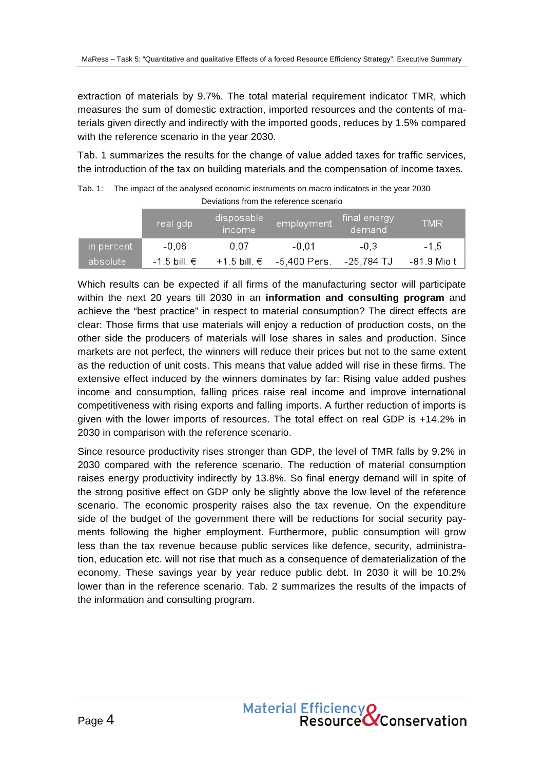extraction of materials by 9.7%. The total material requirement indicator TMR, which measures the sum of domestic extraction, imported resources and the contents of materials given directly and indirectly with the imported goods, reduces by 1.5% compared with the reference scenario in the year 2030.

Tab. 1 summarizes the results for the change of value added taxes for traffic services, the introduction of the tax on building materials and the compensation of income taxes.

Tab. 1: The impact of the analysed economic instruments on macro indicators in the year 2030 Deviations from the reference scenario

|                        | real gdp'      | disposable <sup>i</sup><br><i><u>Income</u></i> | employment                  | final energy<br>demand | <b>TMR</b>  |
|------------------------|----------------|-------------------------------------------------|-----------------------------|------------------------|-------------|
| $\,$ in percent $\,$ ' | $-0.06$        | 0.07                                            | $-0.01$                     | $-0.3$                 | $-1.5$      |
| absolute               | $-1.5$ bill. € |                                                 | +1.5 bill. $€$ -5,400 Pers. | -25.784 TJ             | -81.9 Mio t |

Which results can be expected if all firms of the manufacturing sector will participate within the next 20 years till 2030 in an **information and consulting program** and achieve the "best practice" in respect to material consumption? The direct effects are clear: Those firms that use materials will enjoy a reduction of production costs, on the other side the producers of materials will lose shares in sales and production. Since markets are not perfect, the winners will reduce their prices but not to the same extent as the reduction of unit costs. This means that value added will rise in these firms. The extensive effect induced by the winners dominates by far: Rising value added pushes income and consumption, falling prices raise real income and improve international competitiveness with rising exports and falling imports. A further reduction of imports is given with the lower imports of resources. The total effect on real GDP is +14.2% in 2030 in comparison with the reference scenario.

Since resource productivity rises stronger than GDP, the level of TMR falls by 9.2% in 2030 compared with the reference scenario. The reduction of material consumption raises energy productivity indirectly by 13.8%. So final energy demand will in spite of the strong positive effect on GDP only be slightly above the low level of the reference scenario. The economic prosperity raises also the tax revenue. On the expenditure side of the budget of the government there will be reductions for social security payments following the higher employment. Furthermore, public consumption will grow less than the tax revenue because public services like defence, security, administration, education etc. will not rise that much as a consequence of dematerialization of the economy. These savings year by year reduce public debt. In 2030 it will be 10.2% lower than in the reference scenario. Tab. 2 summarizes the results of the impacts of the information and consulting program.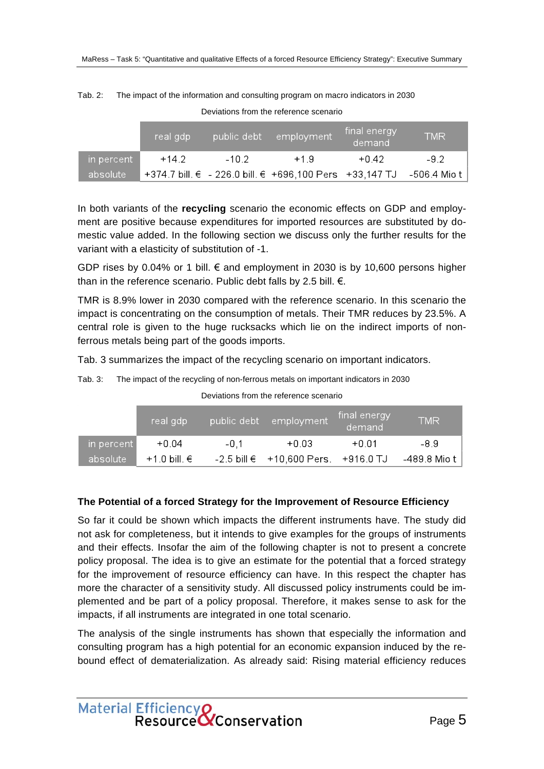|            | ∖real qdp\ | public debt | employment                                              | final energy<br>demand | TMR          |
|------------|------------|-------------|---------------------------------------------------------|------------------------|--------------|
| in percent | $+14.2$    | $-10.2$     | $+1.9$                                                  | $+0.42$                | -92          |
| absolute   |            |             | +374.7 bill. € - 226.0 bill. € +696,100 Pers +33,147 TJ |                        | -506.4 Mio t |

Deviations from the reference scenario

Tab. 2: The impact of the information and consulting program on macro indicators in 2030

In both variants of the **recycling** scenario the economic effects on GDP and employment are positive because expenditures for imported resources are substituted by domestic value added. In the following section we discuss only the further results for the variant with a elasticity of substitution of -1.

GDP rises by 0.04% or 1 bill.  $\epsilon$  and employment in 2030 is by 10,600 persons higher than in the reference scenario. Public debt falls by 2.5 bill.  $\epsilon$ .

TMR is 8.9% lower in 2030 compared with the reference scenario. In this scenario the impact is concentrating on the consumption of metals. Their TMR reduces by 23.5%. A central role is given to the huge rucksacks which lie on the indirect imports of nonferrous metals being part of the goods imports.

Tab. 3 summarizes the impact of the recycling scenario on important indicators.

| Tab. 3: |  | The impact of the recycling of non-ferrous metals on important indicators in 2030 |  |  |
|---------|--|-----------------------------------------------------------------------------------|--|--|
|---------|--|-----------------------------------------------------------------------------------|--|--|

|            | real gdp       |        | public debt employment                | final energy<br>demand | <b>TMR</b>   |
|------------|----------------|--------|---------------------------------------|------------------------|--------------|
| in percent | $+0.04$        | $-0.1$ | $+0.03$                               | +በ በ1                  | -8.9         |
| absolute   | +1.0 bill. $∈$ |        | $-2.5$ bill € +10,600 Pers. +916.0 TJ |                        | -489.8 Mio t |

Deviations from the reference scenario

#### **The Potential of a forced Strategy for the Improvement of Resource Efficiency**

So far it could be shown which impacts the different instruments have. The study did not ask for completeness, but it intends to give examples for the groups of instruments and their effects. Insofar the aim of the following chapter is not to present a concrete policy proposal. The idea is to give an estimate for the potential that a forced strategy for the improvement of resource efficiency can have. In this respect the chapter has more the character of a sensitivity study. All discussed policy instruments could be implemented and be part of a policy proposal. Therefore, it makes sense to ask for the impacts, if all instruments are integrated in one total scenario.

The analysis of the single instruments has shown that especially the information and consulting program has a high potential for an economic expansion induced by the rebound effect of dematerialization. As already said: Rising material efficiency reduces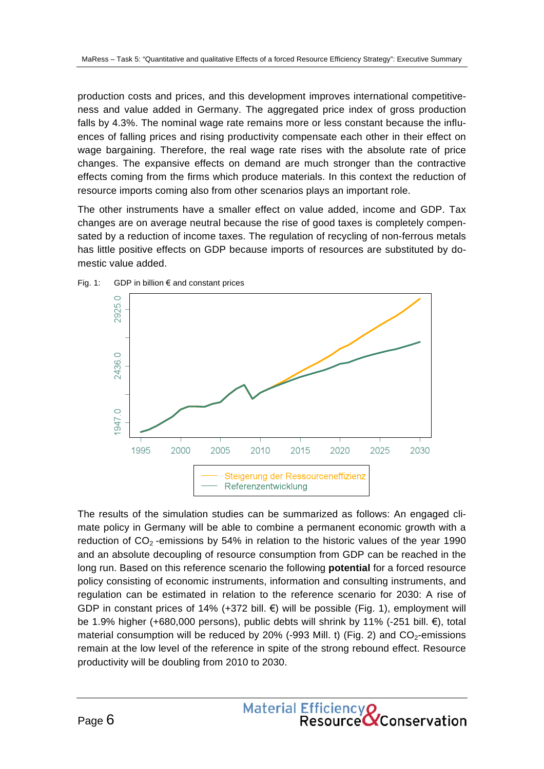production costs and prices, and this development improves international competitiveness and value added in Germany. The aggregated price index of gross production falls by 4.3%. The nominal wage rate remains more or less constant because the influences of falling prices and rising productivity compensate each other in their effect on wage bargaining. Therefore, the real wage rate rises with the absolute rate of price changes. The expansive effects on demand are much stronger than the contractive effects coming from the firms which produce materials. In this context the reduction of resource imports coming also from other scenarios plays an important role.

The other instruments have a smaller effect on value added, income and GDP. Tax changes are on average neutral because the rise of good taxes is completely compensated by a reduction of income taxes. The regulation of recycling of non-ferrous metals has little positive effects on GDP because imports of resources are substituted by domestic value added.





The results of the simulation studies can be summarized as follows: An engaged climate policy in Germany will be able to combine a permanent economic growth with a reduction of  $CO<sub>2</sub>$ -emissions by 54% in relation to the historic values of the year 1990 and an absolute decoupling of resource consumption from GDP can be reached in the long run. Based on this reference scenario the following **potential** for a forced resource policy consisting of economic instruments, information and consulting instruments, and regulation can be estimated in relation to the reference scenario for 2030: A rise of GDP in constant prices of 14% (+372 bill.  $\epsilon$ ) will be possible (Fig. 1), employment will be 1.9% higher (+680,000 persons), public debts will shrink by 11% (-251 bill.  $\epsilon$ ), total material consumption will be reduced by 20% (-993 Mill. t) (Fig. 2) and  $CO<sub>2</sub>$ -emissions remain at the low level of the reference in spite of the strong rebound effect. Resource productivity will be doubling from 2010 to 2030.